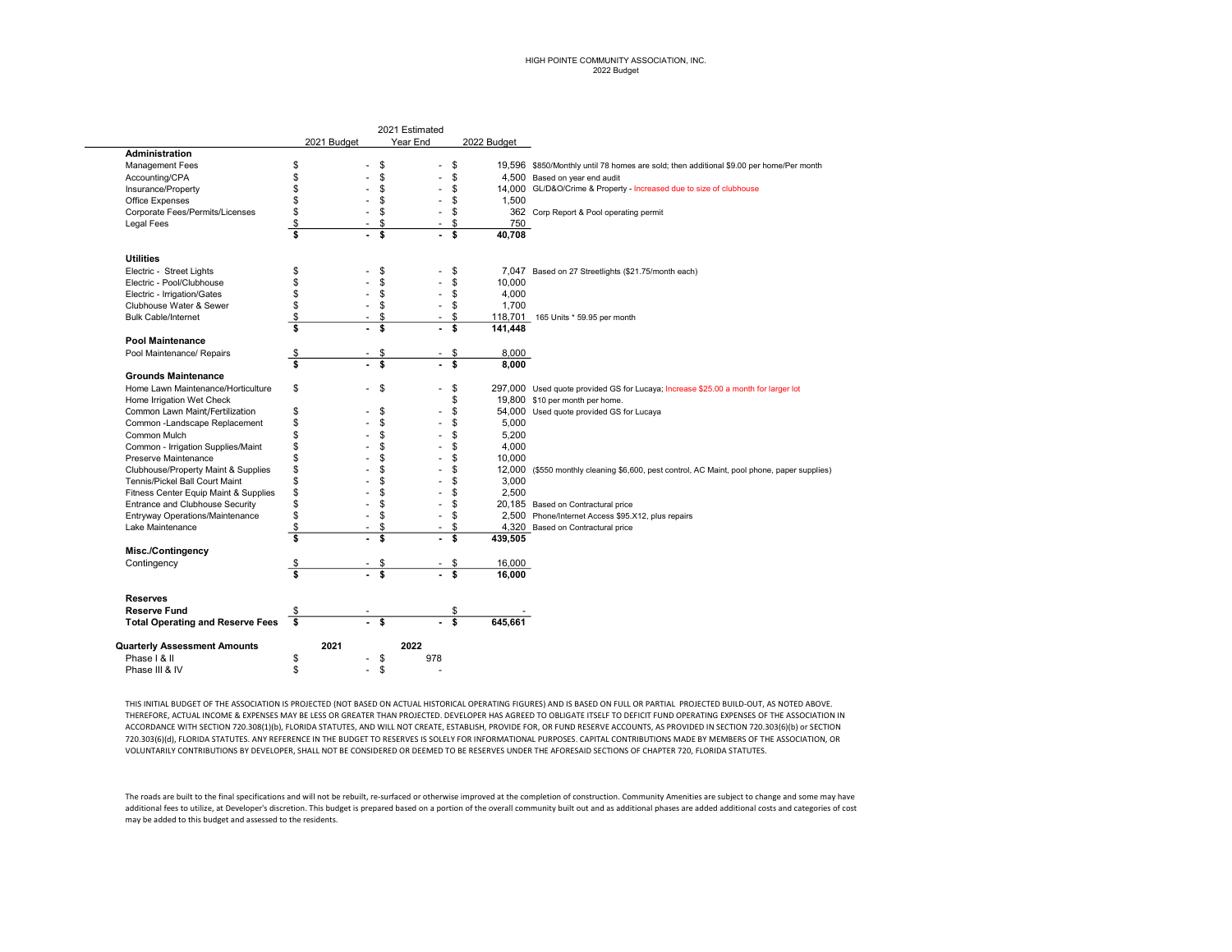## HIGH POINTE COMMUNITY ASSOCIATION, INC. 2022 Budget

|                                         | 2021 Budget                     |                          |                 | Year End |                         | 2022 Budget |                                                                                         |
|-----------------------------------------|---------------------------------|--------------------------|-----------------|----------|-------------------------|-------------|-----------------------------------------------------------------------------------------|
| Administration                          |                                 |                          |                 |          |                         |             |                                                                                         |
| <b>Management Fees</b>                  | \$                              |                          | \$              | ٠        | \$                      |             | 19,596 \$850/Monthly until 78 homes are sold; then additional \$9.00 per home/Per month |
| Accounting/CPA                          | \$                              |                          | \$              |          | \$                      |             | 4,500 Based on year end audit                                                           |
| Insurance/Property                      | \$                              |                          | \$              |          | \$                      |             | 14,000 GL/D&O/Crime & Property - Increased due to size of clubhouse                     |
| <b>Office Expenses</b>                  | \$                              |                          | \$              |          | \$                      | 1,500       |                                                                                         |
| Corporate Fees/Permits/Licenses         | \$                              |                          | \$              |          | \$                      |             | 362 Corp Report & Pool operating permit                                                 |
| <b>Legal Fees</b>                       | \$                              | $\blacksquare$           | \$              | ٠        | \$                      | 750         |                                                                                         |
|                                         | \$                              | $\overline{\phantom{a}}$ | \$              |          | \$                      | 40,708      |                                                                                         |
| <b>Utilities</b>                        |                                 |                          |                 |          |                         |             |                                                                                         |
| Electric - Street Lights                | \$                              |                          | \$              |          | \$                      |             | 7,047 Based on 27 Streetlights (\$21.75/month each)                                     |
| Electric - Pool/Clubhouse               | \$                              |                          | \$              |          | \$                      | 10,000      |                                                                                         |
| Electric - Irrigation/Gates             | \$                              | ä,                       | \$              |          | \$                      | 4,000       |                                                                                         |
| Clubhouse Water & Sewer                 | \$                              |                          | \$              |          | \$                      | 1,700       |                                                                                         |
| <b>Bulk Cable/Internet</b>              | $\frac{1}{2}$                   |                          | \$              |          | \$                      |             | 118,701 _ 165 Units * 59.95 per month                                                   |
|                                         | \$                              | ÷.                       | \$              |          | \$                      | 141,448     |                                                                                         |
| <b>Pool Maintenance</b>                 |                                 |                          |                 |          |                         |             |                                                                                         |
|                                         |                                 |                          |                 |          |                         | 8,000       |                                                                                         |
| Pool Maintenance/ Repairs               | $\boldsymbol{\mathsf{s}}$<br>\$ | $\overline{\phantom{a}}$ | \$<br>\$        |          | \$                      |             |                                                                                         |
|                                         |                                 |                          |                 |          | \$                      | 8,000       |                                                                                         |
| <b>Grounds Maintenance</b>              |                                 |                          |                 |          |                         |             |                                                                                         |
| Home Lawn Maintenance/Horticulture      | \$                              | ä,                       | \$              |          | \$                      |             | 297,000 Used quote provided GS for Lucaya; Increase \$25.00 a month for larger lot      |
| Home Irrigation Wet Check               |                                 |                          |                 |          | \$                      |             | 19,800 \$10 per month per home.                                                         |
| Common Lawn Maint/Fertilization         | \$                              |                          | \$              |          | \$                      |             | 54,000 Used quote provided GS for Lucaya                                                |
| Common -Landscape Replacement           | \$                              |                          | \$              |          | \$                      | 5,000       |                                                                                         |
| Common Mulch                            | \$                              |                          | \$              |          | \$                      | 5,200       |                                                                                         |
| Common - Irrigation Supplies/Maint      | \$                              |                          | \$              |          | \$                      | 4,000       |                                                                                         |
| Preserve Maintenance                    | \$                              |                          | \$              |          | \$                      | 10,000      |                                                                                         |
| Clubhouse/Property Maint & Supplies     | \$                              |                          | \$              |          | \$                      | 12,000      | (\$550 monthly cleaning \$6,600, pest control, AC Maint, pool phone, paper supplies)    |
| Tennis/Pickel Ball Court Maint          | \$                              |                          | \$              |          | \$                      | 3,000       |                                                                                         |
| Fitness Center Equip Maint & Supplies   | \$                              |                          | \$              |          | \$                      | 2,500       |                                                                                         |
| Entrance and Clubhouse Security         | \$                              |                          | \$              |          | \$                      |             | 20,185 Based on Contractural price                                                      |
| Entryway Operations/Maintenance         | \$                              |                          | \$              |          | \$                      |             | 2,500 Phone/Internet Access \$95.X12, plus repairs                                      |
| Lake Maintenance                        | \$                              |                          | \$              |          | \$                      |             | 4,320 Based on Contractural price                                                       |
|                                         | \$                              |                          | \$              |          | \$                      | 439,505     |                                                                                         |
| <b>Misc./Contingency</b>                |                                 |                          |                 |          |                         |             |                                                                                         |
| Contingency                             | \$                              |                          |                 |          |                         | 16,000      |                                                                                         |
|                                         | $\overline{\mathbf{s}}$         |                          | $\frac{\$}{\$}$ |          |                         | 16,000      |                                                                                         |
|                                         |                                 |                          |                 |          |                         |             |                                                                                         |
| <b>Reserves</b>                         |                                 |                          |                 |          |                         |             |                                                                                         |
| <b>Reserve Fund</b>                     | \$                              |                          |                 |          | \$                      |             |                                                                                         |
| <b>Total Operating and Reserve Fees</b> | $\overline{\mathbf{s}}$         | L.                       | \$              |          | $\overline{\mathbf{s}}$ | 645,661     |                                                                                         |
| <b>Quarterly Assessment Amounts</b>     | 2021                            |                          |                 | 2022     |                         |             |                                                                                         |
| Phase   & II                            | \$                              | ä,                       | \$              | 978      |                         |             |                                                                                         |
| Phase III & IV                          | \$                              | ä,                       | \$              |          |                         |             |                                                                                         |
|                                         |                                 |                          |                 |          |                         |             |                                                                                         |

2021 Estimated

THIS INITIAL BUDGET OF THE ASSOCIATION IS PROJECTED (NOT BASED ON ACTUAL HISTORICAL OPERATING FIGURES) AND IS BASED ON FULL OR PARTIAL PROJECTED BUILD-OUT, AS NOTED ABOVE. THEREFORE, ACTUAL INCOME & EXPENSES MAY BE LESS OR GREATER THAN PROJECTED. DEVELOPER HAS AGREED TO OBLIGATE ITSELF TO DEFICIT FUND OPERATING EXPENSES OF THE ASSOCIATION IN ACCORDANCE WITH SECTION 720.308(1)(b), FLORIDA STATUTES, AND WILL NOT CREATE, ESTABLISH, PROVIDE FOR, OR FUND RESERVE ACCOUNTS, AS PROVIDED IN SECTION 720.303(6)(b) or SECTION 720.303(6)(d), FLORIDA STATUTES. ANY REFERENCE IN THE BUDGET TO RESERVES IS SOLELY FOR INFORMATIONAL PURPOSES. CAPITAL CONTRIBUTIONS MADE BY MEMBERS OF THE ASSOCIATION, OR VOLUNTARILY CONTRIBUTIONS BY DEVELOPER, SHALL NOT BE CONSIDERED OR DEEMED TO BE RESERVES UNDER THE AFORESAID SECTIONS OF CHAPTER 720, FLORIDA STATUTES.

The roads are built to the final specifications and will not be rebuilt, re-surfaced or otherwise improved at the completion of construction. Community Amenities are subject to change and some may have additional fees to utilize, at Developer's discretion. This budget is prepared based on a portion of the overall community built out and as additional phases are added additional costs and categories of cost may be added to this budget and assessed to the residents.